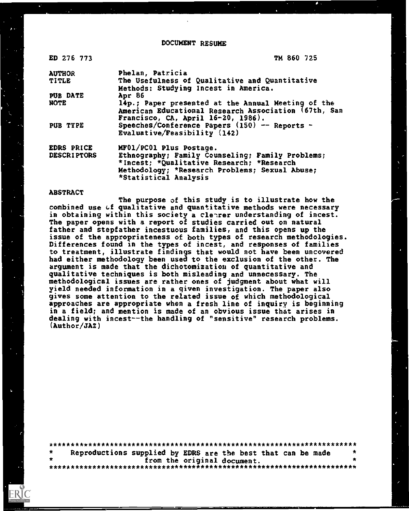DOCUMENT RESUME

| ED 276 773         | TM 860 725                                           |
|--------------------|------------------------------------------------------|
| <b>AUTHOR</b>      | Phelan, Patricia                                     |
| <b>TITLE</b>       | The Usefulness of Qualitative and Quantitative       |
|                    | Methods: Studying Incest in America.                 |
| <b>PUB DATE</b>    | Apr 86                                               |
| NOTE               | 14p.; Paper presented at the Annual Meeting of the   |
|                    | American Educational Research Association (67th, San |
|                    | Francisco, CA, April 16-20, 1986).                   |
| PUB TYPE           | Speeches/Conference Papers (150) -- Reports -        |
|                    | Evaluative/Feasibility (142)                         |
| EDRS PRICE         | MF01/PC01 Plus Postage.                              |
| <b>DESCRIPTORS</b> | Ethnography; Family Counseling; Family Problems;     |
|                    | *Incest; *Qualitative Research; *Research            |
|                    | Methodology; *Research Problems; Sexual Abuse;       |

\*Statistical Analysis

## ABSTRACT

The purpose of this study is to illustrate how the combined use of qualitative and quantitative methods were necessary in obtaining within this society a clearer understanding of incest. The paper opens with a report of studies carried out on natural father and stepfather incestuous families, and this opens up the issue of the appropriateness of both types of research methodologies. Differences found in the types of incest, and responses of families to treatment, illustrate findings that would not have been uncovered had either methodology been used to the exclusion of the other. The argument is made that the dichotomization of quantitative and qualitative techniques is both misleading and unnecessary. The methodological issues are rather ones of judgment about what will yield needed information in a given investigation. The paper also gives some attention to the related issue of which methodological approaches are appropriate when a fresh line of inquiry is beginning in a field; and mention is made of an obvious issue that arises in dealing with incest--the handling of "sensitive" research problems. (Author/JAZ)

| Reproductions supplied by EDRS are the best that can be made<br>大 | - 22 |
|-------------------------------------------------------------------|------|
| from the original document.                                       |      |
|                                                                   |      |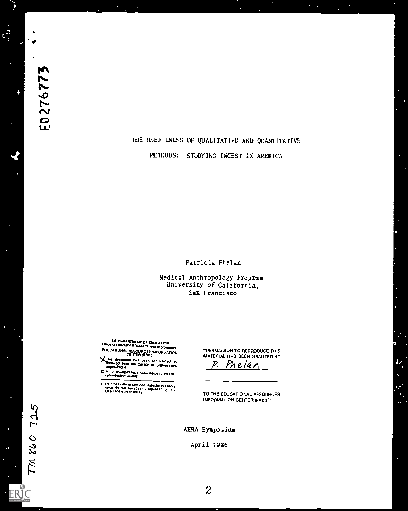ED276773

d El

1

# THE USEFULNESS OF QUALITATIVE AND QUANTITATIVE METHODS: STUDYING INCEST IN AMERICA

Patricia Phelan

Medical Anthropology Program University of California, San Francisco

U.8 DEPARTMENT OF EDUCATION<br>Office of Educational Research and Improvement EDUCATIONAL RESOURCES INFORMATION

This document has been reproduced as theories from ma parson or organization or organization

The temple of the Marian made to improve<br>13 Minor changes have been made to improve

Points of view or opinions staled in this doc.u<br>ment do not inecessarily represent official<br>OEAI position or Dolicy

"PERMISSION TO REPRODUCE THIS MATERIAL HAS BEEN GRANTED BY

P. Phelan

TO THE EDUCATIONAL RESOURCES INFORMATION CENTER (ERIC)"

AERA Symposium

April 1986

TM 860 725

 $\hat{\theta}$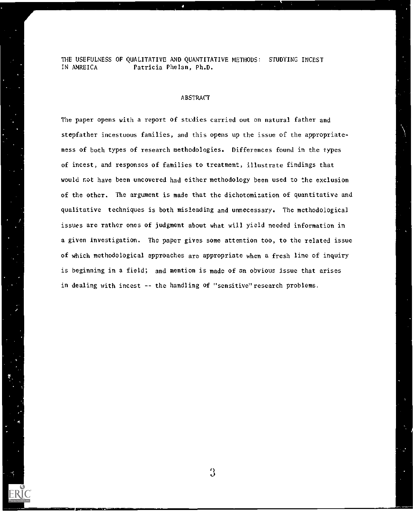## THE USEFULNESS OF QUALITATIVE AND QUANTITATIVE METHODS: STUDYING INCEST<br>IN AMREICA Patricia Phelan, Ph.D. Patricia Phelan, Ph.D.

## ABSTRACT

The paper opens with a report of studies carried out on natural father and stepfather incestuous families, and this opens up the issue of the appropriateness of both types of research methodologies. Differences found in the types of incest, and responses of families to treatment, illustrate findings that would not have been uncovered had either methodology been used to the exclusion of the other. The argument is made that the dichotomization of quantitative and qualitative techniques is both misleading and unnecessary. The methodological issues are rather ones of judgment about what will yield needed information in a given investigation. The paper gives some attention too, to the related issue of which methodological approaches are appropriate when a fresh line of inquiry is beginning in a field; and mention is made of an obvious issue that arises in dealing with incest -- the handling of "sensitive" research problems.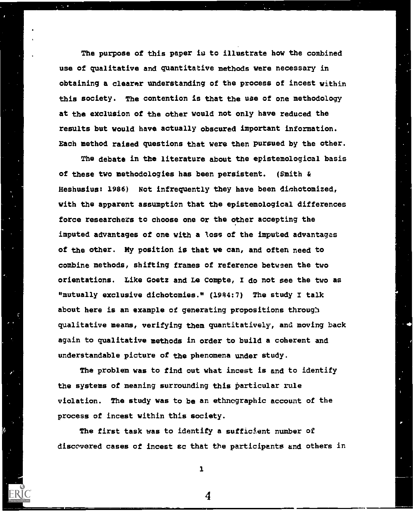The purpose of this paper iu to illustrate how the combined use of qualitative and quantitative methods were necessary in obtaining a clearer understanding of the process of incest within this society. The contention is that the use of one methodology at the exclusion of the other would not only have reduced the results but would have actually obscured important information. Each method raised questions that were then pursued by the other.

The debate in the literature about the epistemological basis of these two methodologies has been persistent. (Smith & Heshusiust 1986) Not infrequently they have been dichotomized, with the apparent assumption that the epistemological differences force researchers to choose one or the other accepting the imputed advantages of one with a loss of the imputed advantages of the other. My position is that we can, and often need to combine methods, shifting frames of reference between the two orientations. Like Goetz and Le Compte, I do not see the two as "mutually exclusive dichotomies." (1984:7) The study I talk about here is an example of generating propositions through qualitative means, verifying them quantitatively, and moving back again to qualitative methods in order to build a coherent and understandable picture of the phenomena under study.

The problem was to find out what incest is and to identify the systems of meaning surrounding this particular rule violation. The study was to be an ethnographic account of the process of incest within this society.

The first task was to identify a sufficient number of discovered cases of incest sc that the participants and others in

٨

1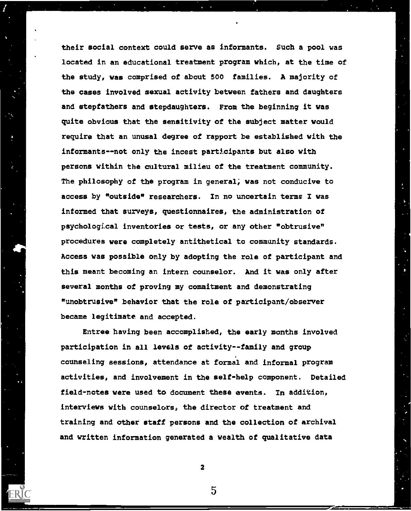their social context could serve as informants. Such a pool was located in an educational treatment program which, at the time of the study, was comprised of about SOO families. A majority of the cases involved sexual activity between fathers and daughters and stepfathers and stepdaughters. From the beginning it was quite obvious that the sensitivity of the subject matter would require that an unusal degree of rapport be established with the informants--not only the incest participants but also with persons within the cultural milieu of the treatment community. The philosophy of the program in general; was not conducive to access by "outside" researchers. In no uncertain terms I was informed that surveys, questionnaires, the administration of psychological inventories or tests, or any other "obtrusive" procedures were completely antithetical to community standards. Access was possible only by adopting the rola of participant and this meant becoming an intern counselor. And it was only after several months of proving my commitment and demonstrating "unobtrusive" behavior that the role of participant/observer became legitimate and accepted.

Entree having been accomplished, the early months involved participation in all levels of activity--family and group counseling sessions, attendance at formal and informal program activities, and involvement in the self-help component. Detailed field-notes were used to document these events. In addition, interviews with counselors, the director of treatment and training and other staff persons and the collection of archival and written information generated a wealth of qualitative data

2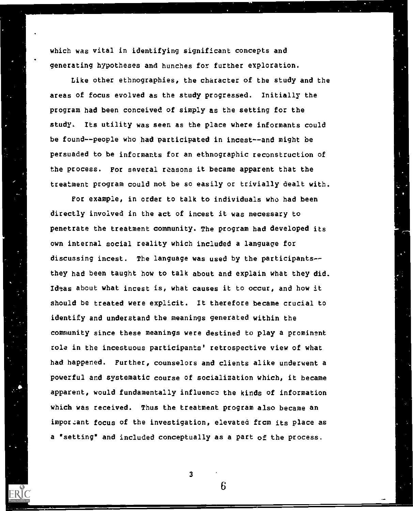which was vital in identifying significant concepts and generating hypotheses and hunches for further exploration.

Like other ethnographies, the character of the study and the areas of focus evolved as the study progressed. Initially the program had been conceived of simply as the setting for the study. Its utility was seen as the place where informants could be found--people who had participated in incest--and might be persuaded to be informants for an ethnographic reconstruction of the process. For several reasons it became apparent that the treatment program could not be so easily or trivially dealt with.

For example, in order to talk to individuals who had been directly involved in the act of incest it was necessary to penetrate the treatment community. The program had developed its own internal social reality which included a language for discussing incest. The language was used by the participants- they had been taught how to talk about and explain what they did. Ideas about what incest is, what causes it to occur, and how it should be treated were explicit. It therefore became crucial to identify and understand the meanings generated within the community since these meanings were destined to play a prominent role in the incestuous participants' retrospective view of what had happened. Further, counselors and clients alike underwent a powerful and systematic course of socialization which, it became apparent, would fundamentally influence the kinds of information which was received. Thus the treatment program also became an important focus of the investigation, elevated from its place as a °setting" and included conceptually as a part of the process.

6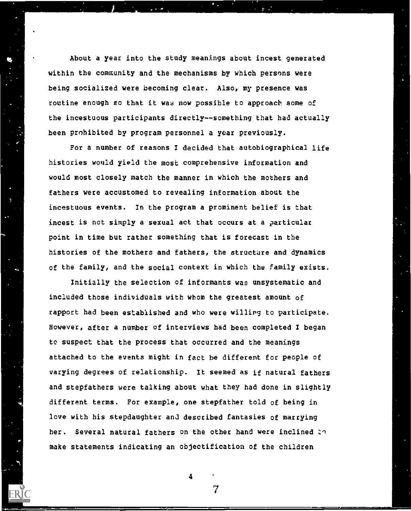About a year into the study meanings about incest generated within the community and the mechanisms by which persons were being socialized were becoming clear. Also, my presence was routine enough so that it was now possible to approach some of the incestuous participants directly--something that had actually been prohibited by program personnel a year previously.

For a number of reasons I decided that autobiographical life histories would yield the most comprehensive information and would most closely match the manner in which the mothers and fathers were accustomed to revealing information about the incestuous events. In the program a prominent belief is that incest is not simply a sexual act that occurs at a particular point in time but rather something that is forecast in the histories of the mothers and fathers, the structure and dynamics of the family, and the social context in which the family exists.

Initially the selection of informants was unsystematic and included those individuals with whom the greatest amount of rapport had been established and who were willing to participate. However, after a number of interviews had been completed I began to suspect that the process that occurred and the meanings attached to the events might in fact be different for people of varying degrees of relationship. It seemed as if natural fathers and stepfathers were talking about what they had done in slightly different terms. Por example, one stepfather told of being in love with his stepdaughter and described fantasies of marrying her. Several natural fathers on the other hand were inclined to make statements indicating an objectification of the children

4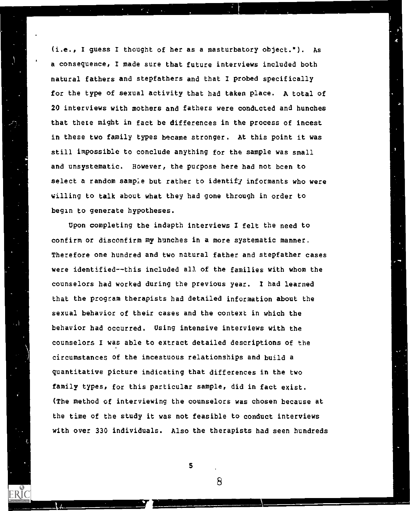(i.e., 1 guess 1 thought of her as a masturbatory object.'). As a consequence, 1 made sure that future interviews included both natural fathers and stepfathers and that 1 probed specifically for the type of sexual activity that had taken place. A total of 20 interviews with mothers and fathers were condLcted and hunches that there might in fact be differences in the process of incest in these two family types became stronger. At this point it was still impossible to conclude anything for the sample was small and unsystematic. However, the purpose here had not bcen to select a random sample but rather to identify informants who were willing to talk about what they had gone through in order to begin to generate hypotheses.

 $\begin{array}{c} \begin{array}{c} \end{array} \end{array}$ 

Upon completing the indapth interviews 1 felt the need to confirm or disconfirm my hunches in a more systematic manner. Therefore one hundred and two natural father and stepfather cases were identified--this included all of the families with whom the counselors had worked during the previous year. 1 had learned that the program therapists had detailed information about the sexual behavior of their cases and the context in which the behavior had occurred. Using intensive interviews with the counselors 1 was able to extract detailed descriptions of the circumstances of the incestuous relationships and build a quantitative picture indicating that differences in the two family types, for this particular sample, did in fact exist. (The method of interviewing the counselors was chosen because at the time of the study it was not feasible to conduct interviews with over 330 individuals. Also the therapists had seen hundreds

5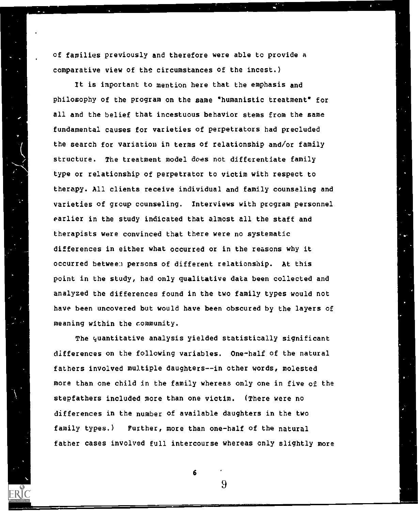of families previously and therefore were able to provide a comparative view of the circumstances of the incest.)

OIL

,.

,

I-

)

It is important to mention here that the emphasis and philosophy of the program on the same °humanistic treatment° for all and the belief that incestuous behavior stems from the same fundamental causes for varieties of perpetrators had precluded the search for variation in terms of relationship and/or family structure. The treatment model does not differentiate family type or relationship of perpetrator to victim with respect to therapy. All clients receive individual and family counseling and varieties of group counseling. Interviews with program personnel earlier in the study indicated that almost all the staff and therapists were convinced that there were no systematic differences in either what occurred or in the reasons why it occurred betweci persons of different relationship. At this point in the study, had only qualitative data been collected and analyzed the differences found in the two family types would not have been uncovered but would have been obscured by the layers of meaning within the community.

The quantitative analysis yielded statistically significant differences on the following variables. One-half of the natural fathers involved multiple daughters--in other words, molested more than one child in the family whereas only one in five of the stepfathers included more than one victim. (There were no differences in the number of available daughters in the two family types.) Further, more than one-half of the natural father cases involved full intercourse whereas only slightly more

6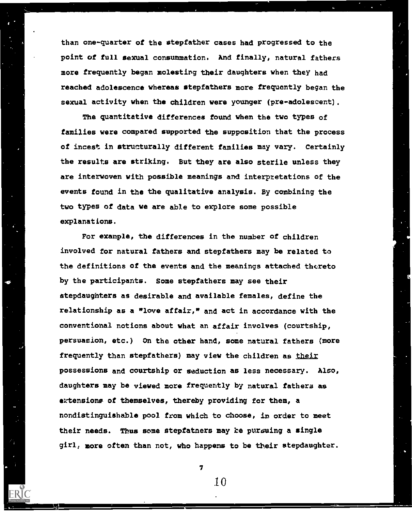than one-quarter of the stepfather cases had progressed to the point of full sexual consummation. And finally, natural fathers more frequently began molesting their daughters when they had reached adolescence whereas stepfathers more frequently began the sexual activity when the children were younger (pre-adolescent).

The quantitative differences found when the two types of families were compared supported the supposition that the process of incest in structurally different families may vary. Certainly the results are striking. But they are also sterile unless they are interwoven with possible meanings and interpzetations of the events found in the the qualitative analysis. By combining the two types of data we are able to explore some possible explanations.

For example, the differences in the number of children involved for natural fathers and stepfathers may be related to the definitions of the events and the meanings attached thcxeto by the participants. Some stepfathers may see their stepdaughters as desirable and available females, define the relationship as a \*love affair,\* and act in accordance with the conventional notions about what an affair involves (courtship, persuasion, etc.) On the other hand, some natural fathers (more frequently than stepfathers) may view the children as their possessions and courtship or seduction as less necessary. Also, daughters may be viewed more frequently by natural fathers as extensions of themselves, thereby providing for them, a nondistinguishable pool from which to choose, in order to meet their needs. Thus some stepfatners may be pursuing a single girl: more often than not, who happens to be their stepdaughter.

7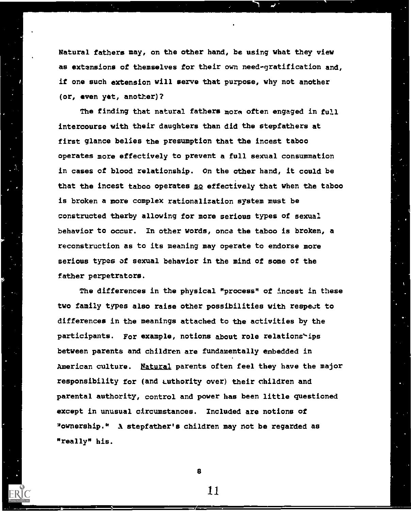Natural fathers may, on the other hand, be using what they view as extensions of themselves for their own need-gratification and, if one such extension will serve that purpose, why not another (or, even yet, another)?

The finding that natural fathers more often engaged in full intercourse with their daughters than did the stepfathers at first glance belies the presumption that the incest taboo operates more effectively to prevent a full sexual consummation in cases of blood relationship. On the other hand, it could be that the incest taboo operates so effectively that when the taboo is broken a more complex rationalization system must be constructed therby allowing for more serious types of sexual behavior to occur. In other words, once the taboo is broken, a reconstruction as to its meaning may operate to endorse more serious types of sexual behavior in the mind of some of the father perpetrators.

The differences in the physical "process" of incest in these two family types also raise other possibilities with respect to differences in the meanings attached to the activities by the participants. For example, notions about role relationships between parents and children are fundamentally embedded in American culture. Natural parents often feel they have the major responsibility for (and Luthority over) their children and parental authority, control and power has been little questioned except in unusual circumstances. Included are notions of 2ownership." A stepfather's children may not be regarded as "really" his.

8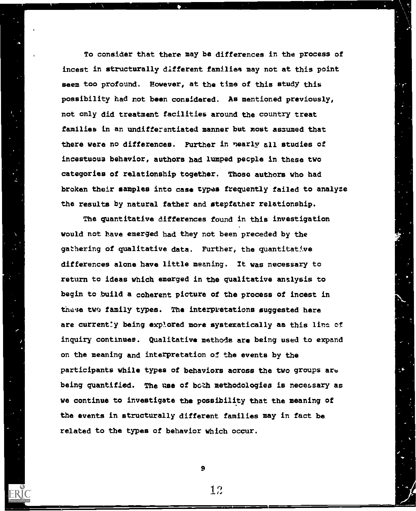To consider that there may be differences in the process of incest in structurally different families may not at this point seem too profound. However, at the time of this study this possibility had rot been considered. As mentioned previously, not only did treatment facilities around the country treat families in an undifferentiated manner but most assumed that there were no differences. Further in nearly all studies of incestuous behavior, authors had lumped people in these two categories of relationship together. Those authors who had broken their samples into case types frequently failed to analyze the results by natural father and stepfather relationship.

The quantitative differences found in this investigation would not have emerged had they not been preceded by the gathering of qualitative data. Further, the quantitative differences alone have little meaning. It was necessary to return to ideas which emerged in the qualitative analysis to begin to build a coherent picture of the process of incest in these two family types. The interpretations suggested here are currently being explored more systematically as this line of inquiry continues. Qualitative methods are being used to expand on the meaning and interpretation of the events by the participants while types of behaviors across the two groups are being quantified. The use of both methodologies is necessary as we continue to investigate the possibility that the meaning of the events in structurally different families may in fact be related to the types of behavior which occur.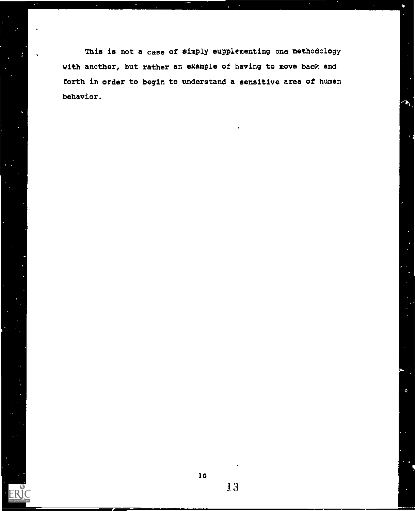This is not a case of simply eupplementing one methodology with another, but rather an example of having to move back and forth in order to begin to understand a sensitive area of human behavior.

ö

g/

 $\pmb{\phi}$ 

.13